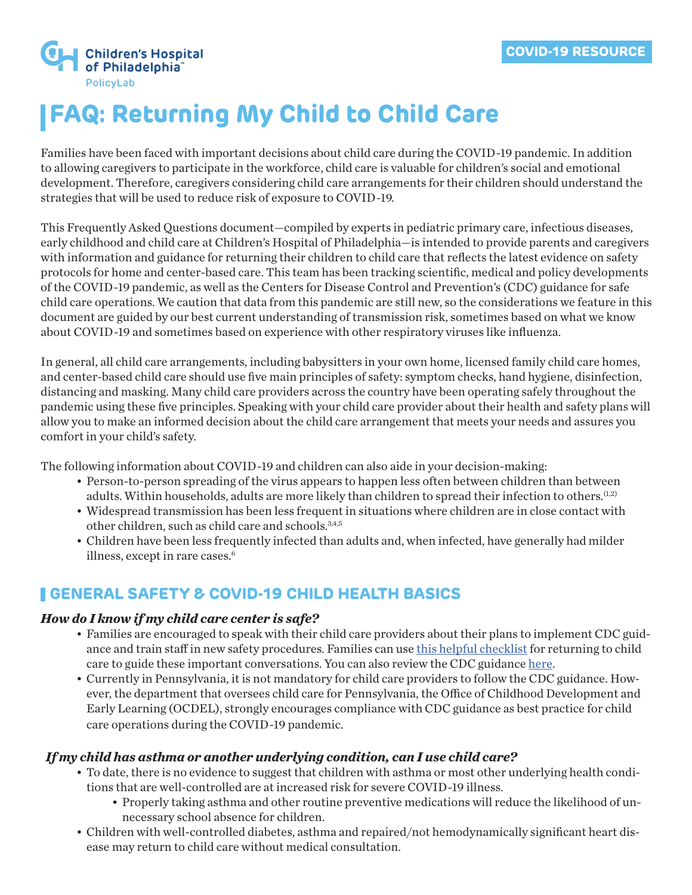

# **FAQ: Returning My Child to Child Care**

Families have been faced with important decisions about child care during the COVID-19 pandemic. In addition to allowing caregivers to participate in the workforce, child care is valuable for children's social and emotional development. Therefore, caregivers considering child care arrangements for their children should understand the strategies that will be used to reduce risk of exposure to COVID-19.

This Frequently Asked Questions document—compiled by experts in pediatric primary care, infectious diseases, early childhood and child care at Children's Hospital of Philadelphia—is intended to provide parents and caregivers with information and guidance for returning their children to child care that reflects the latest evidence on safety protocols for home and center-based care. This team has been tracking scientific, medical and policy developments of the COVID-19 pandemic, as well as the Centers for Disease Control and Prevention's (CDC) guidance for safe child care operations. We caution that data from this pandemic are still new, so the considerations we feature in this document are guided by our best current understanding of transmission risk, sometimes based on what we know about COVID-19 and sometimes based on experience with other respiratory viruses like influenza.

In general, all child care arrangements, including babysitters in your own home, licensed family child care homes, and center-based child care should use five main principles of safety: symptom checks, hand hygiene, disinfection, distancing and masking. Many child care providers across the country have been operating safely throughout the pandemic using these five principles. Speaking with your child care provider about their health and safety plans will allow you to make an informed decision about the child care arrangement that meets your needs and assures you comfort in your child's safety.

The following information about COVID-19 and children can also aide in your decision-making:

- Person-to-person spreading of the virus appears to happen less often between children than between adults. Within households, adults are more likely than children to spread their infection to others.<sup>(1,2)</sup>
- Widespread transmission has been less frequent in situations where children are in close contact with other children, such as child care and schools.3,4,5
- Children have been less frequently infected than adults and, when infected, have generally had milder illness, except in rare cases.6

# **GENERAL SAFETY & COVID-19 CHILD HEALTH BASICS**

#### *How do I know if my child care center is safe?*

- Families are encouraged to speak with their child care providers about their plans to implement CDC guidance and train staff in new safety procedures. Families can use [this helpful checklist](https://policylab.chop.edu/sites/default/files/pdf/publications/PolicyLab-Child-Care-Checklist-Parents-Guardians-Families.pdf) for returning to child care to guide these important conversations. You can also review the CDC guidance [here](https://www.cdc.gov/coronavirus/2019-ncov/community/schools-childcare/index.html).
- Currently in Pennsylvania, it is not mandatory for child care providers to follow the CDC guidance. However, the department that oversees child care for Pennsylvania, the Office of Childhood Development and Early Learning (OCDEL), strongly encourages compliance with CDC guidance as best practice for child care operations during the COVID-19 pandemic.

#### *If my child has asthma or another underlying condition, can I use child care?*

- To date, there is no evidence to suggest that children with asthma or most other underlying health conditions that are well-controlled are at increased risk for severe COVID-19 illness.
	- Properly taking asthma and other routine preventive medications will reduce the likelihood of unnecessary school absence for children.
- Children with well-controlled diabetes, asthma and repaired/not hemodynamically significant heart disease may return to child care without medical consultation.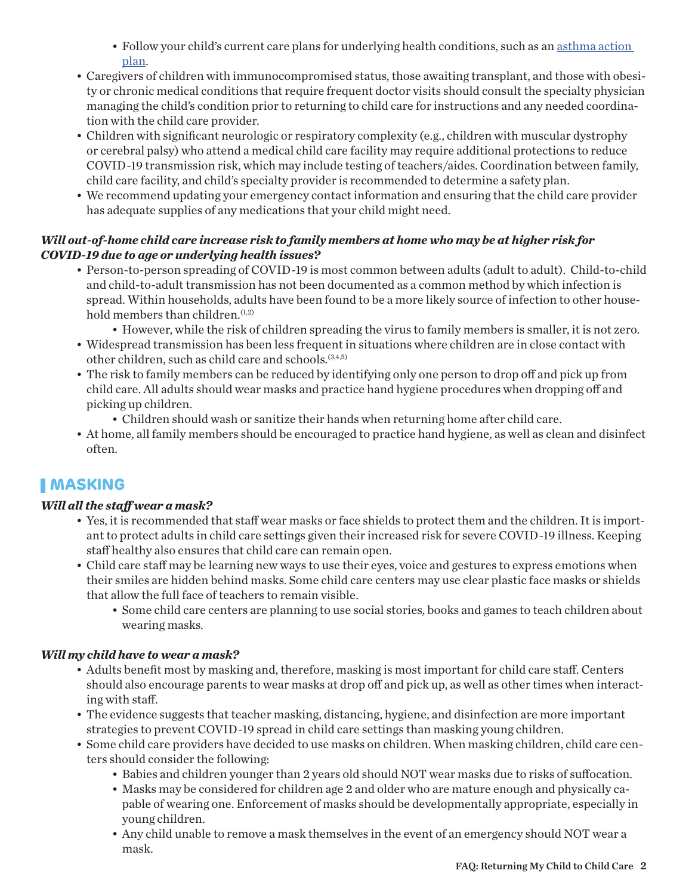- Follow your child's current care plans for underlying health conditions, such as an [asthma action](http://ecels-healthychildcarepa.org/tools/forms/item/786-asthma-action-plan.html)  [plan.](http://ecels-healthychildcarepa.org/tools/forms/item/786-asthma-action-plan.html)
- Caregivers of children with immunocompromised status, those awaiting transplant, and those with obesity or chronic medical conditions that require frequent doctor visits should consult the specialty physician managing the child's condition prior to returning to child care for instructions and any needed coordination with the child care provider.
- Children with significant neurologic or respiratory complexity (e.g., children with muscular dystrophy or cerebral palsy) who attend a medical child care facility may require additional protections to reduce COVID-19 transmission risk, which may include testing of teachers/aides. Coordination between family, child care facility, and child's specialty provider is recommended to determine a safety plan.
- We recommend updating your emergency contact information and ensuring that the child care provider has adequate supplies of any medications that your child might need.

#### *Will out-of-home child care increase risk to family members at home who may be at higher risk for COVID-19 due to age or underlying health issues?*

- Person-to-person spreading of COVID-19 is most common between adults (adult to adult). Child-to-child and child-to-adult transmission has not been documented as a common method by which infection is spread. Within households, adults have been found to be a more likely source of infection to other household members than children.<sup>(1,2)</sup>
	- However, while the risk of children spreading the virus to family members is smaller, it is not zero.
- Widespread transmission has been less frequent in situations where children are in close contact with other children, such as child care and schools.<sup>(3,4,5)</sup>
- The risk to family members can be reduced by identifying only one person to drop off and pick up from child care. All adults should wear masks and practice hand hygiene procedures when dropping off and picking up children.
	- Children should wash or sanitize their hands when returning home after child care.
- At home, all family members should be encouraged to practice hand hygiene, as well as clean and disinfect often.

# **MASKING**

#### *Will all the staff wear a mask?*

- Yes, it is recommended that staff wear masks or face shields to protect them and the children. It is important to protect adults in child care settings given their increased risk for severe COVID-19 illness. Keeping staff healthy also ensures that child care can remain open.
- Child care staff may be learning new ways to use their eyes, voice and gestures to express emotions when their smiles are hidden behind masks. Some child care centers may use clear plastic face masks or shields that allow the full face of teachers to remain visible.
	- Some child care centers are planning to use social stories, books and games to teach children about wearing masks.

#### *Will my child have to wear a mask?*

- Adults benefit most by masking and, therefore, masking is most important for child care staff. Centers should also encourage parents to wear masks at drop off and pick up, as well as other times when interacting with staff.
- The evidence suggests that teacher masking, distancing, hygiene, and disinfection are more important strategies to prevent COVID-19 spread in child care settings than masking young children.
- Some child care providers have decided to use masks on children. When masking children, child care centers should consider the following:
	- Babies and children younger than 2 years old should NOT wear masks due to risks of suffocation.
	- Masks may be considered for children age 2 and older who are mature enough and physically capable of wearing one. Enforcement of masks should be developmentally appropriate, especially in young children.
	- Any child unable to remove a mask themselves in the event of an emergency should NOT wear a mask.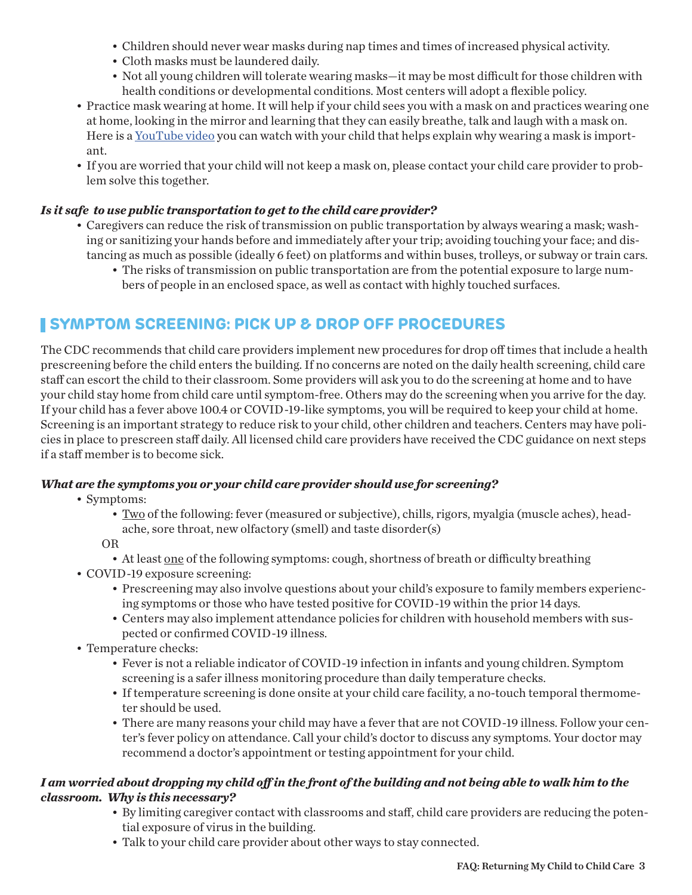- Children should never wear masks during nap times and times of increased physical activity.
- Cloth masks must be laundered daily.
- Not all young children will tolerate wearing masks—it may be most difficult for those children with health conditions or developmental conditions. Most centers will adopt a flexible policy.
- Practice mask wearing at home. It will help if your child sees you with a mask on and practices wearing one at home, looking in the mirror and learning that they can easily breathe, talk and laugh with a mask on. Here is a <u>YouTube video</u> you can watch with your child that helps explain why wearing a mask is important.
- If you are worried that your child will not keep a mask on, please contact your child care provider to problem solve this together.

#### *Is it safe to use public transportation to get to the child care provider?*

- Caregivers can reduce the risk of transmission on public transportation by always wearing a mask; washing or sanitizing your hands before and immediately after your trip; avoiding touching your face; and distancing as much as possible (ideally 6 feet) on platforms and within buses, trolleys, or subway or train cars.
	- The risks of transmission on public transportation are from the potential exposure to large numbers of people in an enclosed space, as well as contact with highly touched surfaces.

# **SYMPTOM SCREENING: PICK UP & DROP OFF PROCEDURES**

The CDC recommends that child care providers implement new procedures for drop off times that include a health prescreening before the child enters the building. If no concerns are noted on the daily health screening, child care staff can escort the child to their classroom. Some providers will ask you to do the screening at home and to have your child stay home from child care until symptom-free. Others may do the screening when you arrive for the day. If your child has a fever above 100.4 or COVID-19-like symptoms, you will be required to keep your child at home. Screening is an important strategy to reduce risk to your child, other children and teachers. Centers may have policies in place to prescreen staff daily. All licensed child care providers have received the CDC guidance on next steps if a staff member is to become sick.

#### *What are the symptoms you or your child care provider should use for screening?*

- Symptoms:
	- Two of the following: fever (measured or subjective), chills, rigors, myalgia (muscle aches), headache, sore throat, new olfactory (smell) and taste disorder(s)
	- OR
		- At least one of the following symptoms: cough, shortness of breath or difficulty breathing
- COVID-19 exposure screening:
	- Prescreening may also involve questions about your child's exposure to family members experiencing symptoms or those who have tested positive for COVID-19 within the prior 14 days.
	- Centers may also implement attendance policies for children with household members with suspected or confirmed COVID-19 illness.
- Temperature checks:
	- Fever is not a reliable indicator of COVID-19 infection in infants and young children. Symptom screening is a safer illness monitoring procedure than daily temperature checks.
	- If temperature screening is done onsite at your child care facility, a no-touch temporal thermometer should be used.
	- There are many reasons your child may have a fever that are not COVID-19 illness. Follow your center's fever policy on attendance. Call your child's doctor to discuss any symptoms. Your doctor may recommend a doctor's appointment or testing appointment for your child.

#### *I am worried about dropping my child off in the front of the building and not being able to walk him to the classroom. Why is this necessary?*

- By limiting caregiver contact with classrooms and staff, child care providers are reducing the potential exposure of virus in the building.
- Talk to your child care provider about other ways to stay connected.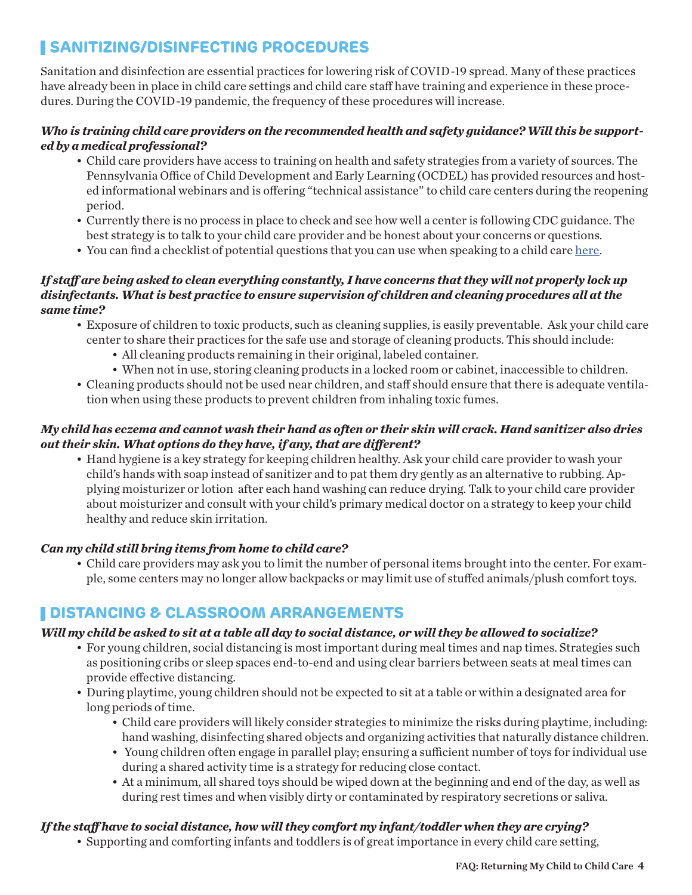# **SANITIZING/DISINFECTING PROCEDURES**

Sanitation and disinfection are essential practices for lowering risk of COVID-19 spread. Many of these practices have already been in place in child care settings and child care staff have training and experience in these procedures. During the COVID-19 pandemic, the frequency of these procedures will increase.

#### *Who is training child care providers on the recommended health and safety guidance? Will this be supported by a medical professional?*

- Child care providers have access to training on health and safety strategies from a variety of sources. The Pennsylvania Office of Child Development and Early Learning (OCDEL) has provided resources and hosted informational webinars and is offering "technical assistance" to child care centers during the reopening period.
- Currently there is no process in place to check and see how well a center is following CDC guidance. The best strategy is to talk to your child care provider and be honest about your concerns or questions.
- You can find a checklist of potential questions that you can use when speaking to a child care [here.](https://policylab.chop.edu/sites/default/files/pdf/publications/PolicyLab-Child-Care-Checklist-Parents-Guardians-Families.pdf)

#### *If staff are being asked to clean everything constantly, I have concerns that they will not properly lock up disinfectants. What is best practice to ensure supervision of children and cleaning procedures all at the same time?*

- Exposure of children to toxic products, such as cleaning supplies, is easily preventable. Ask your child care center to share their practices for the safe use and storage of cleaning products. This should include:
	- All cleaning products remaining in their original, labeled container.
	- When not in use, storing cleaning products in a locked room or cabinet, inaccessible to children.
- Cleaning products should not be used near children, and staff should ensure that there is adequate ventilation when using these products to prevent children from inhaling toxic fumes.

#### *My child has eczema and cannot wash their hand as often or their skin will crack. Hand sanitizer also dries out their skin. What options do they have, if any, that are different?*

• Hand hygiene is a key strategy for keeping children healthy. Ask your child care provider to wash your child's hands with soap instead of sanitizer and to pat them dry gently as an alternative to rubbing. Applying moisturizer or lotion after each hand washing can reduce drying. Talk to your child care provider about moisturizer and consult with your child's primary medical doctor on a strategy to keep your child healthy and reduce skin irritation.

#### *Can my child still bring items from home to child care?*

• Child care providers may ask you to limit the number of personal items brought into the center. For example, some centers may no longer allow backpacks or may limit use of stuffed animals/plush comfort toys.

### **DISTANCING & CLASSROOM ARRANGEMENTS**

#### *Will my child be asked to sit at a table all day to social distance, or will they be allowed to socialize?*

- For young children, social distancing is most important during meal times and nap times. Strategies such as positioning cribs or sleep spaces end-to-end and using clear barriers between seats at meal times can provide effective distancing.
- During playtime, young children should not be expected to sit at a table or within a designated area for long periods of time.
	- Child care providers will likely consider strategies to minimize the risks during playtime, including: hand washing, disinfecting shared objects and organizing activities that naturally distance children.
	- Young children often engage in parallel play; ensuring a sufficient number of toys for individual use during a shared activity time is a strategy for reducing close contact.
	- At a minimum, all shared toys should be wiped down at the beginning and end of the day, as well as during rest times and when visibly dirty or contaminated by respiratory secretions or saliva.

#### *If the staff have to social distance, how will they comfort my infant/toddler when they are crying?*

• Supporting and comforting infants and toddlers is of great importance in every child care setting,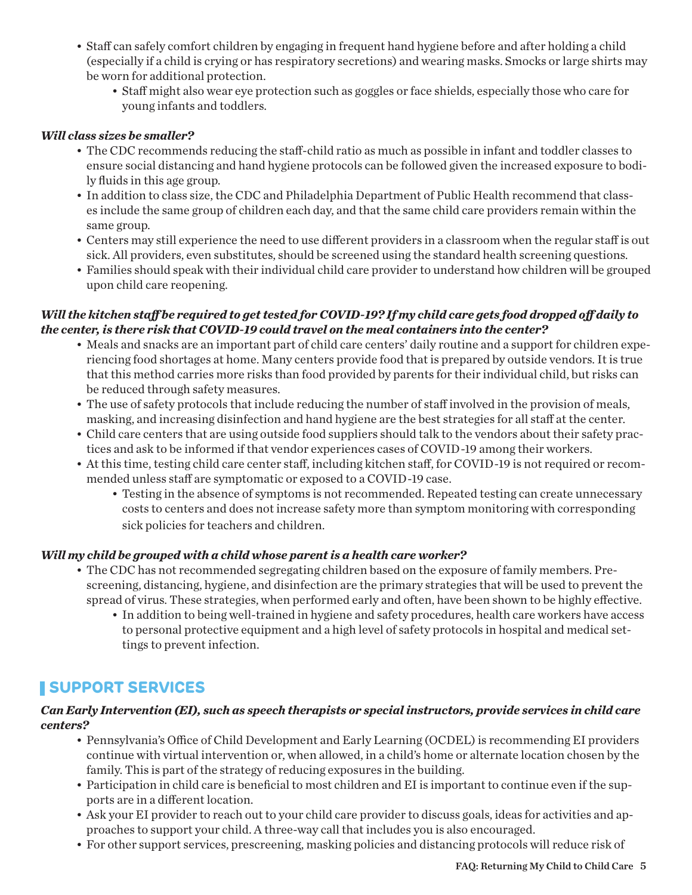- Staff can safely comfort children by engaging in frequent hand hygiene before and after holding a child (especially if a child is crying or has respiratory secretions) and wearing masks. Smocks or large shirts may be worn for additional protection.
	- Staff might also wear eye protection such as goggles or face shields, especially those who care for young infants and toddlers.

#### *Will class sizes be smaller?*

- The CDC recommends reducing the staff-child ratio as much as possible in infant and toddler classes to ensure social distancing and hand hygiene protocols can be followed given the increased exposure to bodily fluids in this age group.
- In addition to class size, the CDC and Philadelphia Department of Public Health recommend that classes include the same group of children each day, and that the same child care providers remain within the same group.
- Centers may still experience the need to use different providers in a classroom when the regular staff is out sick. All providers, even substitutes, should be screened using the standard health screening questions.
- Families should speak with their individual child care provider to understand how children will be grouped upon child care reopening.

#### *Will the kitchen staff be required to get tested for COVID-19? If my child care gets food dropped off daily to the center, is there risk that COVID-19 could travel on the meal containers into the center?*

- Meals and snacks are an important part of child care centers' daily routine and a support for children experiencing food shortages at home. Many centers provide food that is prepared by outside vendors. It is true that this method carries more risks than food provided by parents for their individual child, but risks can be reduced through safety measures.
- The use of safety protocols that include reducing the number of staff involved in the provision of meals, masking, and increasing disinfection and hand hygiene are the best strategies for all staff at the center.
- Child care centers that are using outside food suppliers should talk to the vendors about their safety practices and ask to be informed if that vendor experiences cases of COVID-19 among their workers.
- At this time, testing child care center staff, including kitchen staff, for COVID-19 is not required or recommended unless staff are symptomatic or exposed to a COVID-19 case.
	- Testing in the absence of symptoms is not recommended. Repeated testing can create unnecessary costs to centers and does not increase safety more than symptom monitoring with corresponding sick policies for teachers and children.

#### *Will my child be grouped with a child whose parent is a health care worker?*

- The CDC has not recommended segregating children based on the exposure of family members. Prescreening, distancing, hygiene, and disinfection are the primary strategies that will be used to prevent the spread of virus. These strategies, when performed early and often, have been shown to be highly effective.
	- In addition to being well-trained in hygiene and safety procedures, health care workers have access to personal protective equipment and a high level of safety protocols in hospital and medical settings to prevent infection.

# **SUPPORT SERVICES**

#### *Can Early Intervention (EI), such as speech therapists or special instructors, provide services in child care centers?*

- Pennsylvania's Office of Child Development and Early Learning (OCDEL) is recommending EI providers continue with virtual intervention or, when allowed, in a child's home or alternate location chosen by the family. This is part of the strategy of reducing exposures in the building.
- Participation in child care is beneficial to most children and EI is important to continue even if the supports are in a different location.
- Ask your EI provider to reach out to your child care provider to discuss goals, ideas for activities and approaches to support your child. A three-way call that includes you is also encouraged.
- For other support services, prescreening, masking policies and distancing protocols will reduce risk of